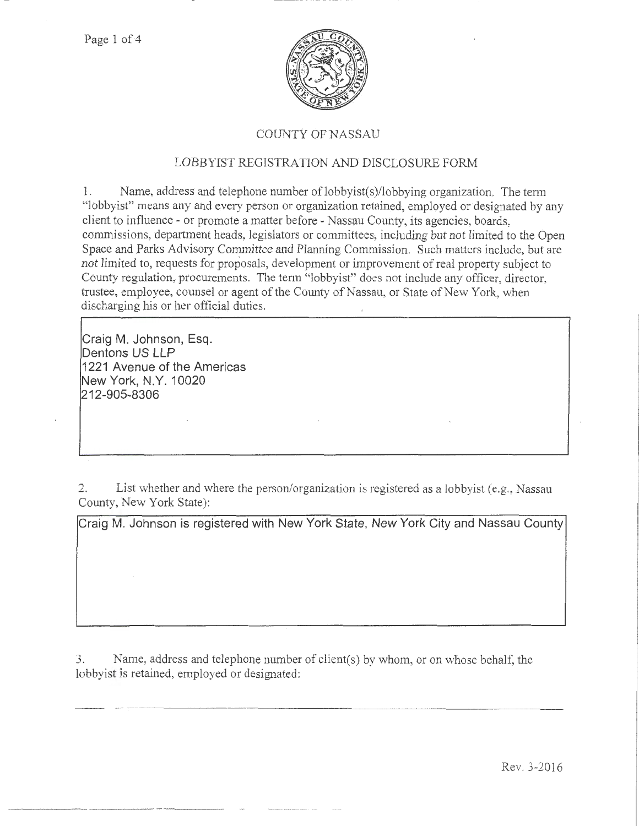

## COUNTY OF NASSAU

## LOBBYIST REGISTRATION AND DISCLOSURE FORM

1. Name, address and telephone number oflobbyist(s)/lobbying organization. The term "lobbyist" means any and every person or organization retained, employed or designated by any client to influence - or promote a matter before - Nassau County, its agencies, boards, commissions, department heads, legislators or committees; including but not limited to the Open Space and Parks Advisory Committee and Planning Commission. Such matters include, but are not limited to, requests for proposals, development or improvement of real property subject to County regulation, procurements. The term "lobbyist" does not include any officer, director, trustee, employee, counsel or agent of the County of Nassau, or State of New York, when discharging his or her official duties.

**Craig M. Johnson, Esq. Dentons US LLP 1221 Avenue of the Americas New York, N.Y. 10020 212-905-8306** 

2. List whether and where the person/organization is registered as a lobbyist (e.g., Nassau County, New York State):

**Craig M. Johnson is registered with New York State, New York City and Nassau County** 

3. Name, address and telephone number of client(s) by whom, or on whose behalf, the lobbyist is retained, employed or designated:

Rev. 3-2016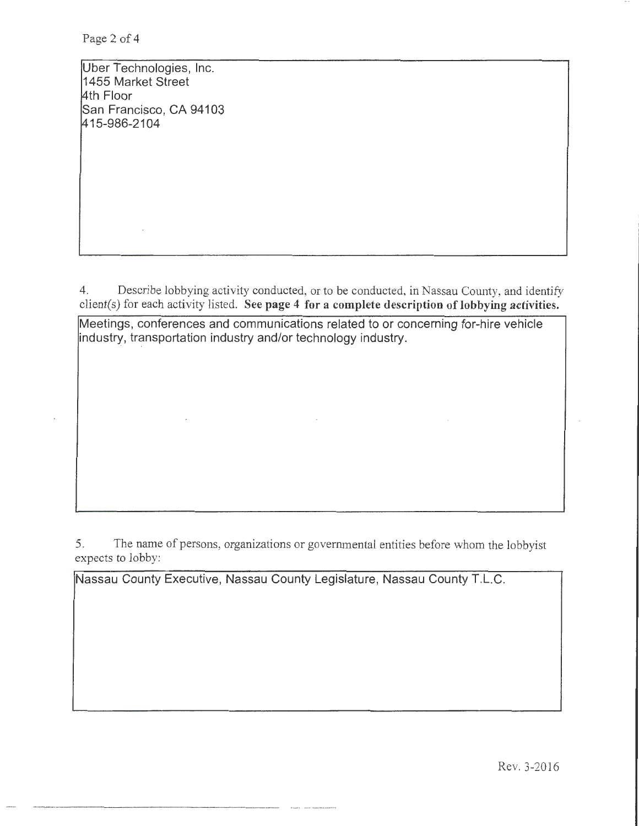Uber Technologies, Inc. 1455 Market Street 4th Floor San Francisco, CA 94103 <sup>~</sup>15-986-2104

4. Describe lobbying activity conducted, or to be conducted, in Nassau County, and identify client(s) for each activity listed. See page 4 for a complete description of lobbying activities.

Meetings, conferences and communications related to or concerning for-hire vehicle industry, transportation industry and/or technology industry.

5. The name of persons, organizations or govermnental entities before whom the lobbyist expects to lobby:

Nassau County Executive, Nassau County Legislature, Nassau County T.L.C.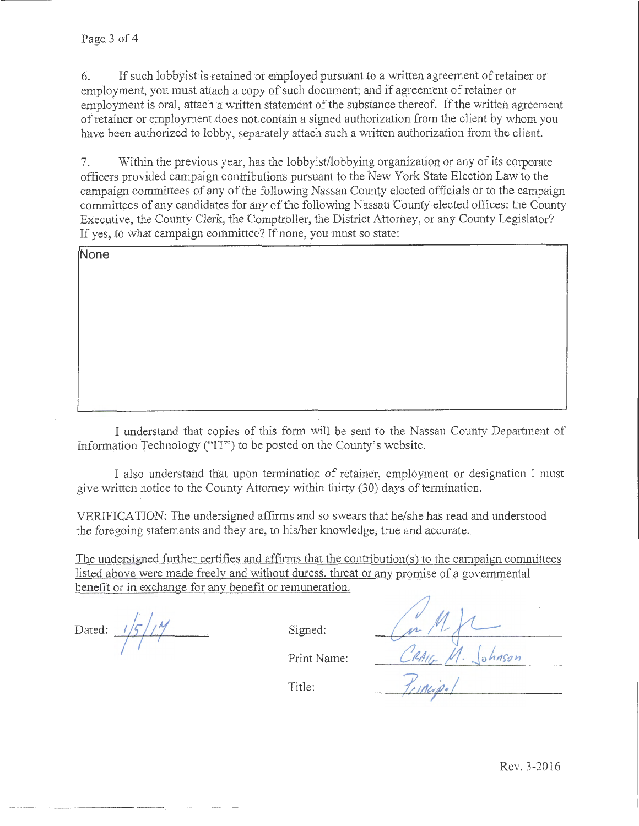6. If such lobby ist is retained or employed pursuant to a written agreement of retainer or employment, you must attach a copy of such document; and if agreement of retainer or employment is oral, attach a written statement of the substance thereof. If the written agreement of retainer or employment does not contain a signed authorization from the client by whom you have been authorized to lobby, separately attach such a written authorization from the client.

7. Within the previous year, has the lobbyist/lobbying organizatiou or any of its corporate officers provided campaign contributions pursuant to the New York State Election Lawto the campaign committees of any of the following Nassau County elected officials or to the campaign committees of any candidates for any of the following Nassau County elected offices: the County Executive, the County Clerk, the Comptroller, the District Attorney, or any County Legislator? If yes, to what campaign committee? If none, you must so state:

**None** 

I understand that copies of this form will be sent *to* the Nassau County Department of Information Technology ("IT") to be posted on the County's website.

I also understand that upon termination of retainer, employment or designation I must give written notice to the County Attorney within thirty (30) days of termination.

VERJFICATION: The undersigned affirms and so swears that he/she has read and understood the foregoing statements and they are, to his/her knowledge, true and accurate.

The undersigned further certifies and affirms that the contribution(s) to the campaign committees listed above were made freelv and without duress. threat or any promise of a governmental benefit or in exchange for any benefit or remuneration.

 $\overline{y}$ Dated:  $1/5$  /  $/7$  Signed:

CRAIG M. Johnson<br>Principal

Print Name:

Title: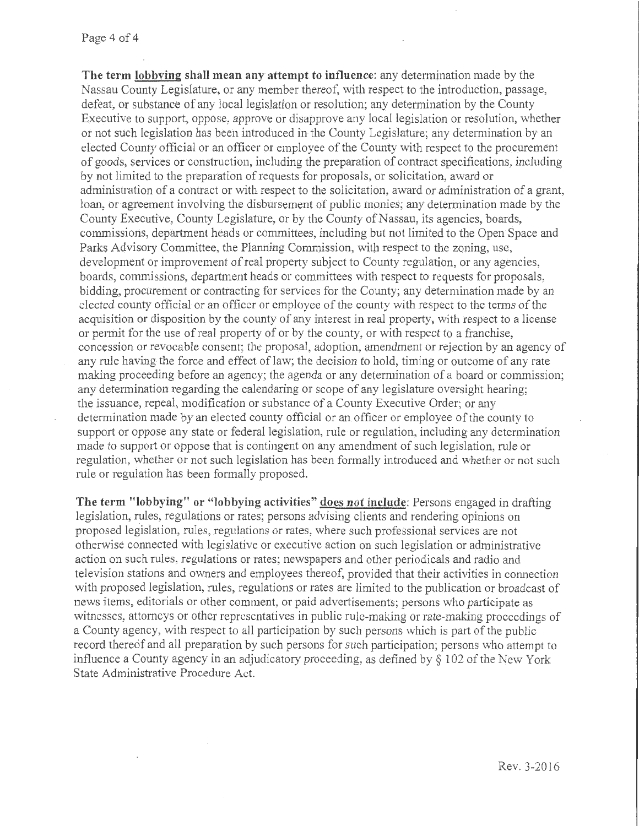**The term lobbying shall mean any attempt to influence:** any determination made by the Nassau County Legislature, or any member thereof, with respect to the introduction, passage, defeat, or substance of any local legislation or resolution; any determination by the County Executive to support, oppose, approve or disapprove any local legislation or resolution, whether or not such legislation has been introduced in the County Legislature; any determination by an elected County official or an officer or employee of the County with respect to the procurement of goods, services or construction, including the preparation of contract specifications, including by not limited to the preparation of requests for proposals, or solicitation, award or administration of a contract or with respect to the solicitation, award or administration of a grant, loan, or agreement involving the disbursement of public monies; any determination made by the County Executive, County Legislature, or by the County of Nassau, its agencies, boards, commissions, department heads or committees, including but not limited to the Open Space and Parks Advisory Committee, the Planning Commission, with respect to the zoning, use, development or improvement of real property subject to County regulation, or any agencies, boards, commissions, department heads or committees with respect to requests for proposals, bidding, procurement or contracting for services for the County; any determination made by an elected county official or an officer or employee of the county with respect to the terms of the acquisition or disposition by the county of any interest in real property, with respect to a license or pemrit for the use of real property of or by the county, or with tespect to a franchise, concession or revocable consent; the proposal, adoption, amendment or rejection by an agency of any rule having the force and effect of law; the decision to hold, timing or outcome of any rate making proceeding before an agency; the agenda or any determination of a board or commission; any determination regarding the calendaring or scope of any legislature oversight hearing; the issuance, repeal, modification or substance of a County Executive Order; or any determination made by an elected county official or an officer or employee of the county to support or oppose any state or federal legislation, rule or regulation, including any determination made to support or oppose that is contingent on any amendment of such legislation, rule or regulation, whether or not such legislation has been formally introduced and whether or not such rule or regulation has been formally proposed.

**The term "lobbying" or "lobbying activities" does not include:** Persons engaged in drafting legislation, rules, regulations or rates; persons advising clients and rendering opinions on proposed legislation, rules, regulations or rates, where such professional services are not otherwise connected with legislative or executive action on such legislation or administrative action on such rules, regulations or rates; newspapers and other periodicals and radio and television stations and owners and employees thereof, provided that their activities in connection with proposed legislation, rules, regulations or rates are limited to the publication or broadcast of news items, editorials or other comment, or paid advertisements; persons who participate as witnesses, attorneys or other representatives in public rule-making or rate-making proceedings of a County agency, with respect to all participation by such persons which is part of the public record thereof and all preparation by such persons for such participation; persons who attempt to influence a County agency in an adjudicatory proceeding, as defined by§ 102 of the New York State Administrative Procedure Act.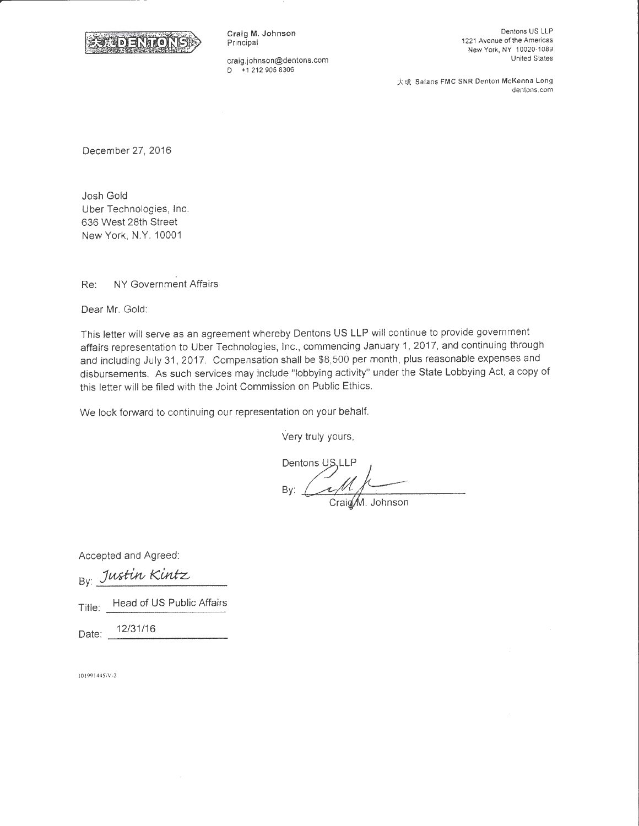

Craig M. Johnson **Principal** 

craig.johnson@dentons.com D +1 212 905 8306

Dentons US LLP 1221 Avenue of the Americas New York, NY 10020-1089 United States

大成 Salans FMC SNR Denton McKenna Long dentons.com

December 27, 2016

Josh Gold Uber Technologies, Inc. 636 West 28th Street New York, N.Y. 10001

Re: NY Government Affairs

Dear Mr. Gold:

This letter will serve as an agreement whereby Dentons US LLP will continue to provide government affairs representation to Uber Technologies, Inc., commencing January 1, 2017, and continuing through and including July 31, 2017. Compensation shall be \$8,500 per month, plus reasonable expenses and disbursements. As such services may include "lobbying activity" under the State Lobbying Act, a copy of this letter will be filed with the Joint Commission on Public Ethics.

We look forward to continuing our representation on your behalf.

Very truly yours,

Dentons US, LLP Bv:

Craig M. Johnson

Accepted and Agreed:

By: Justin Kintz Title: Head of US Public Affairs

Date: 12/31/16

101991445\V-2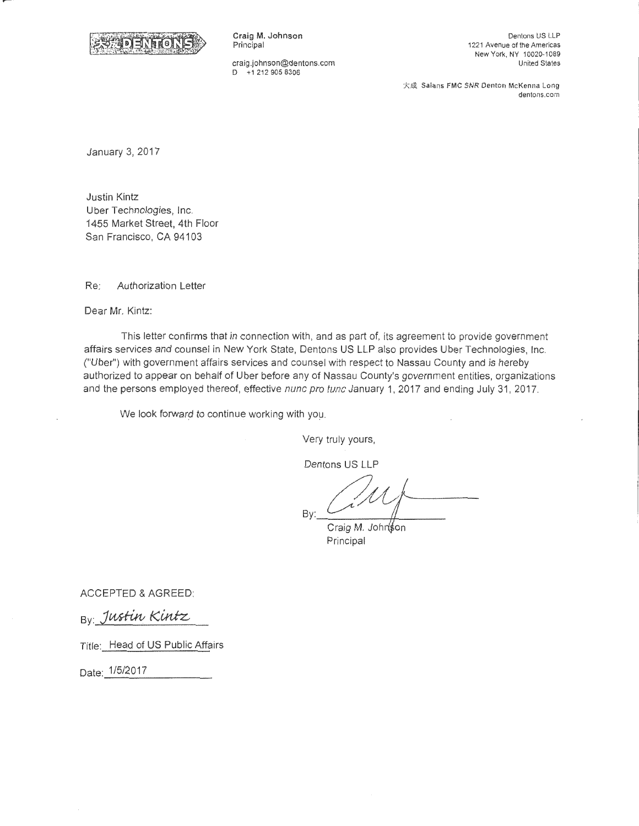

Craig M. Johnson Principal

craig.johnson@dentons.com D +1 212 905 8306

Dentons US LLP 1221 Avenue of the Americas New York, NY 10020-1089 United States

大成 Salans FMC SNR Denton McKenna Long dentons.com

January 3, 2017

Justin Kintz Uber Technologies, Inc. 1455 Market Street, 4th Floor San Francisco, CA 94103

Re: Authorization Letter

Dear Mr. Kintz:

This letter confirms that in connection with, and as part of, its agreement to provide government affairs services and counsel in New York State, Dentons US LLP also provides Uber Technologies, Inc. ("Uber") with government affairs services and counsel with respect to Nassau County and is hereby authorized to appear on behalf of Uber before any of Nassau County's government entities, organizations and the persons employed thereof, effective nunc pro tunc January 1, 2017 and ending July 31, 2017.

We look forward to continue working with you.

Very truly yours,

Dentons US LLP

Bv:

Craig M. Johnson Principal

ACCEPTED & AGREED:

By Justin Kintz

Title: Head of US Public Affairs

Date: 1/5/2017